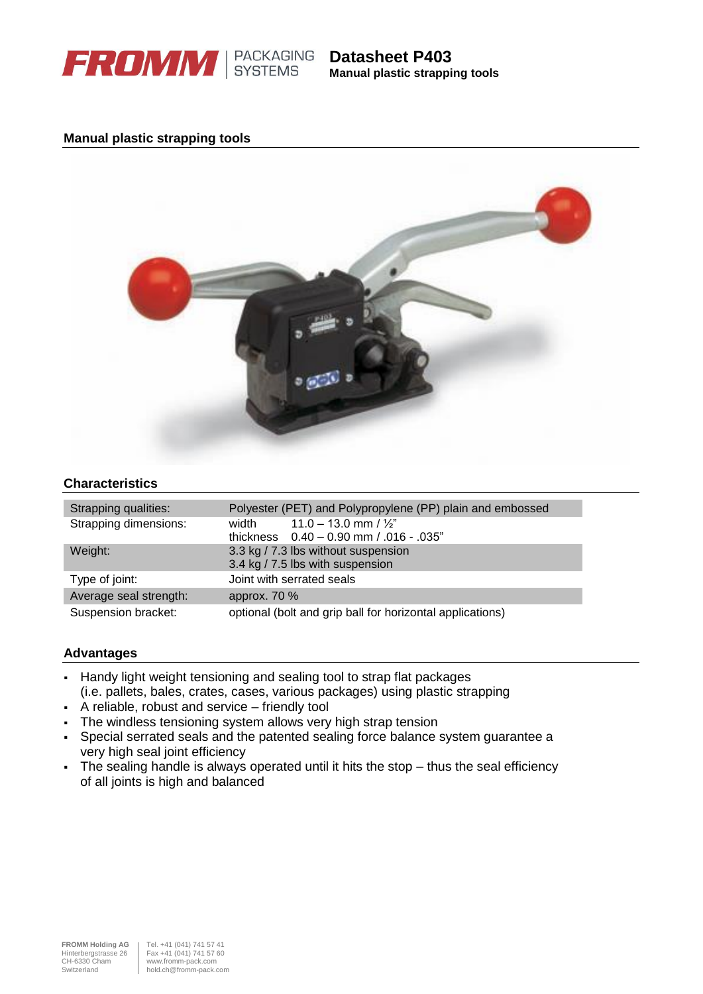

**Manual plastic strapping tools**

# **Manual plastic strapping tools**



# **Characteristics**

| Strapping qualities:   | Polyester (PET) and Polypropylene (PP) plain and embossed |
|------------------------|-----------------------------------------------------------|
| Strapping dimensions:  | $11.0 - 13.0$ mm $/ \frac{1}{2}$<br>width                 |
|                        | thickness $0.40 - 0.90$ mm $/0.016 - 0.035$ "             |
| Weight:                | 3.3 kg / 7.3 lbs without suspension                       |
|                        | 3.4 kg / 7.5 lbs with suspension                          |
| Type of joint:         | Joint with serrated seals                                 |
| Average seal strength: | approx. 70 %                                              |
| Suspension bracket:    | optional (bolt and grip ball for horizontal applications) |

#### **Advantages**

- Handy light weight tensioning and sealing tool to strap flat packages (i.e. pallets, bales, crates, cases, various packages) using plastic strapping
- A reliable, robust and service friendly tool
- The windless tensioning system allows very high strap tension
- Special serrated seals and the patented sealing force balance system guarantee a very high seal joint efficiency
- The sealing handle is always operated until it hits the stop thus the seal efficiency of all joints is high and balanced